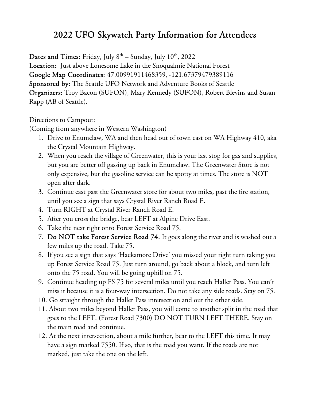# 2022 UFO Skywatch Party Information for Attendees

Dates and Times: Friday, July  $8<sup>th</sup>$  – Sunday, July  $10<sup>th</sup>$ , 2022

Location: Just above Lonesome Lake in the Snoqualmie National Forest Google Map Coordinates: 47.00991911468359, -121.67379479389116 Sponsored by: The Seattle UFO Network and Adventure Books of Seattle Organizers: Troy Bacon (SUFON), Mary Kennedy (SUFON), Robert Blevins and Susan Rapp (AB of Seattle).

Directions to Campout:

(Coming from anywhere in Western Washington)

- 1. Drive to Enumclaw, WA and then head out of town east on WA Highway 410, aka the Crystal Mountain Highway.
- 2. When you reach the village of Greenwater, this is your last stop for gas and supplies, but you are better off gassing up back in Enumclaw. The Greenwater Store is not only expensive, but the gasoline service can be spotty at times. The store is NOT open after dark.
- 3. Continue east past the Greenwater store for about two miles, past the fire station, until you see a sign that says Crystal River Ranch Road E.
- 4. Turn RIGHT at Crystal River Ranch Road E.
- 5. After you cross the bridge, bear LEFT at Alpine Drive East.
- 6. Take the next right onto Forest Service Road 75.
- 7. Do NOT take Forest Service Road 74. It goes along the river and is washed out a few miles up the road. Take 75.
- 8. If you see a sign that says 'Hackamore Drive' you missed your right turn taking you up Forest Service Road 75. Just turn around, go back about a block, and turn left onto the 75 road. You will be going uphill on 75.
- 9. Continue heading up FS 75 for several miles until you reach Haller Pass. You can't miss it because it is a four-way intersection. Do not take any side roads. Stay on 75.
- 10. Go straight through the Haller Pass intersection and out the other side.
- 11. About two miles beyond Haller Pass, you will come to another split in the road that goes to the LEFT. (Forest Road 7300) DO NOT TURN LEFT THERE. Stay on the main road and continue.
- 12. At the next intersection, about a mile further, bear to the LEFT this time. It may have a sign marked 7550. If so, that is the road you want. If the roads are not marked, just take the one on the left.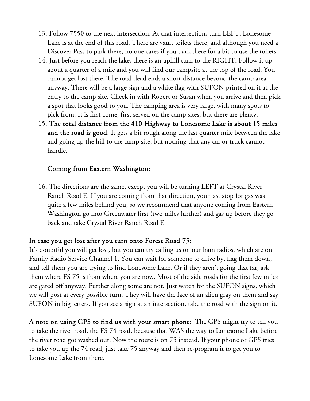- 13. Follow 7550 to the next intersection. At that intersection, turn LEFT. Lonesome Lake is at the end of this road. There are vault toilets there, and although you need a Discover Pass to park there, no one cares if you park there for a bit to use the toilets.
- 14. Just before you reach the lake, there is an uphill turn to the RIGHT. Follow it up about a quarter of a mile and you will find our campsite at the top of the road. You cannot get lost there. The road dead ends a short distance beyond the camp area anyway. There will be a large sign and a white flag with SUFON printed on it at the entry to the camp site. Check in with Robert or Susan when you arrive and then pick a spot that looks good to you. The camping area is very large, with many spots to pick from. It is first come, first served on the camp sites, but there are plenty.
- 15. The total distance from the 410 Highway to Lonesome Lake is about 15 miles and the road is good. It gets a bit rough along the last quarter mile between the lake and going up the hill to the camp site, but nothing that any car or truck cannot handle.

#### Coming from Eastern Washington:

16. The directions are the same, except you will be turning LEFT at Crystal River Ranch Road E. If you are coming from that direction, your last stop for gas was quite a few miles behind you, so we recommend that anyone coming from Eastern Washington go into Greenwater first (two miles further) and gas up before they go back and take Crystal River Ranch Road E.

## In case you get lost after you turn onto Forest Road 75:

It's doubtful you will get lost, but you can try calling us on our ham radios, which are on Family Radio Service Channel 1. You can wait for someone to drive by, flag them down, and tell them you are trying to find Lonesome Lake. Or if they aren't going that far, ask them where FS 75 is from where you are now. Most of the side roads for the first few miles are gated off anyway. Further along some are not. Just watch for the SUFON signs, which we will post at every possible turn. They will have the face of an alien gray on them and say SUFON in big letters. If you see a sign at an intersection, take the road with the sign on it.

A note on using GPS to find us with your smart phone: The GPS might try to tell you to take the river road, the FS 74 road, because that WAS the way to Lonesome Lake before the river road got washed out. Now the route is on 75 instead. If your phone or GPS tries to take you up the 74 road, just take 75 anyway and then re-program it to get you to Lonesome Lake from there.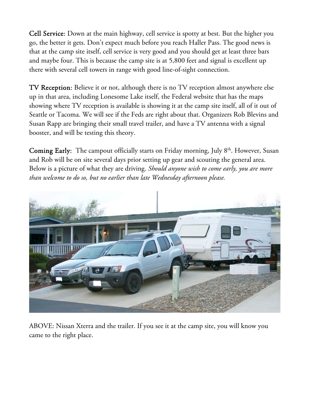Cell Service: Down at the main highway, cell service is spotty at best. But the higher you go, the better it gets. Don't expect much before you reach Haller Pass. The good news is that at the camp site itself, cell service is very good and you should get at least three bars and maybe four. This is because the camp site is at 5,800 feet and signal is excellent up there with several cell towers in range with good line-of-sight connection.

TV Reception: Believe it or not, although there is no TV reception almost anywhere else up in that area, including Lonesome Lake itself, the Federal website that has the maps showing where TV reception is available is showing it at the camp site itself, all of it out of Seattle or Tacoma. We will see if the Feds are right about that. Organizers Rob Blevins and Susan Rapp are bringing their small travel trailer, and have a TV antenna with a signal booster, and will be testing this theory.

Coming Early: The campout officially starts on Friday morning, July 8<sup>th</sup>. However, Susan and Rob will be on site several days prior setting up gear and scouting the general area. Below is a picture of what they are driving. *Should anyone wish to come early, you are more than welcome to do so, but no earlier than late Wednesday afternoon please.* 



ABOVE: Nissan Xterra and the trailer. If you see it at the camp site, you will know you came to the right place.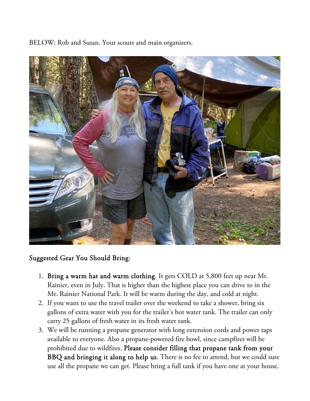BELOW: Rob and Susan. Your scouts and main organizers.



## Suggested Gear You Should Bring:

- 1. Bring a warm hat and warm clothing. It gets COLD at 5,800 feet up near Mt. Rainier, even in July. That is higher than the highest place you can drive to in the Mt. Rainier National Park. It will be warm during the day, and cold at night.
- 2. If you want to use the travel trailer over the weekend to take a shower, bring six gallons of extra water with you for the trailer's hot water tank. The trailer can only carry 25 gallons of fresh water in its fresh water tank.
- 3. We will be running a propane generator with long extension cords and power taps available to everyone. Also a propane-powered fire bowl, since campfires will be prohibited due to wildfires. Please consider filling that propane tank from your BBQ and bringing it along to help us. There is no fee to attend, but we could sure use all the propane we can get. Please bring a full tank if you have one at your house.